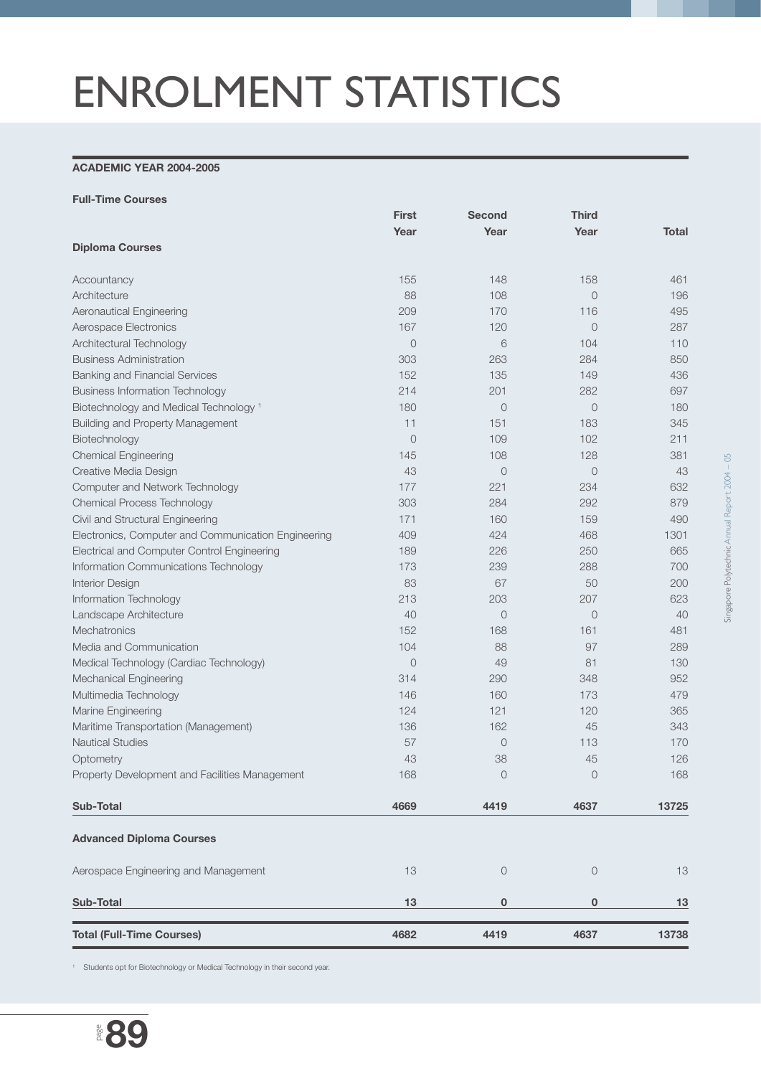## ENROLMENT STATISTICS

## **ACADEMIC YEAR 2004-2005**

|                                                     | <b>First</b>   | <b>Second</b>  | <b>Third</b>   |              |
|-----------------------------------------------------|----------------|----------------|----------------|--------------|
|                                                     | Year           | Year           | Year           | <b>Total</b> |
| <b>Diploma Courses</b>                              |                |                |                |              |
| Accountancy                                         | 155            | 148            | 158            | 461          |
| Architecture                                        | 88             | 108            | $\overline{O}$ | 196          |
| Aeronautical Engineering                            | 209            | 170            | 116            | 495          |
| Aerospace Electronics                               | 167            | 120            | $\circ$        | 287          |
| Architectural Technology                            | $\overline{0}$ | 6              | 104            | 110          |
| <b>Business Administration</b>                      | 303            | 263            | 284            | 850          |
| <b>Banking and Financial Services</b>               | 152            | 135            | 149            | 436          |
| <b>Business Information Technology</b>              | 214            | 201            | 282            | 697          |
| Biotechnology and Medical Technology <sup>1</sup>   | 180            | $\circ$        | $\circ$        | 180          |
| <b>Building and Property Management</b>             | 11             | 151            | 183            | 345          |
| Biotechnology                                       | $\overline{0}$ | 109            | 102            | 211          |
| <b>Chemical Engineering</b>                         | 145            | 108            | 128            | 381          |
| Creative Media Design                               | 43             | $\circ$        | $\circ$        | 43           |
| Computer and Network Technology                     | 177            | 221            | 234            | 632          |
| <b>Chemical Process Technology</b>                  | 303            | 284            | 292            | 879          |
| Civil and Structural Engineering                    | 171            | 160            | 159            | 490          |
| Electronics, Computer and Communication Engineering | 409            | 424            | 468            | 1301         |
| Electrical and Computer Control Engineering         | 189            | 226            | 250            | 665          |
| Information Communications Technology               | 173            | 239            | 288            | 700          |
| Interior Design                                     | 83             | 67             | 50             | 200          |
| Information Technology                              | 213            | 203            | 207            | 623          |
| Landscape Architecture                              | 40             | $\overline{O}$ | $\overline{0}$ | 40           |
| Mechatronics                                        | 152            | 168            | 161            | 481          |
| Media and Communication                             | 104            | 88             | 97             | 289          |
| Medical Technology (Cardiac Technology)             | $\circ$        | 49             | 81             | 130          |
| <b>Mechanical Engineering</b>                       | 314            | 290            | 348            | 952          |
| Multimedia Technology                               | 146            | 160            | 173            | 479          |
| Marine Engineering                                  | 124            | 121            | 120            | 365          |
| Maritime Transportation (Management)                | 136            | 162            | 45             | 343          |
| <b>Nautical Studies</b>                             | 57             | $\circ$        | 113            | 170          |
| Optometry                                           | 43             | 38             | 45             | 126          |
| Property Development and Facilities Management      | 168            | $\circ$        | $\circ$        | 168          |
| <b>Sub-Total</b>                                    | 4669           | 4419           | 4637           | 13725        |
| <b>Advanced Diploma Courses</b>                     |                |                |                |              |
| Aerospace Engineering and Management                | 13             | $\circ$        | $\circ$        | 13           |
| Sub-Total                                           | 13             | 0              | 0              | 13           |
| <b>Total (Full-Time Courses)</b>                    | 4682           | 4419           | 4637           | 13738        |

<sup>1</sup> Students opt for Biotechnology or Medical Technology in their second year.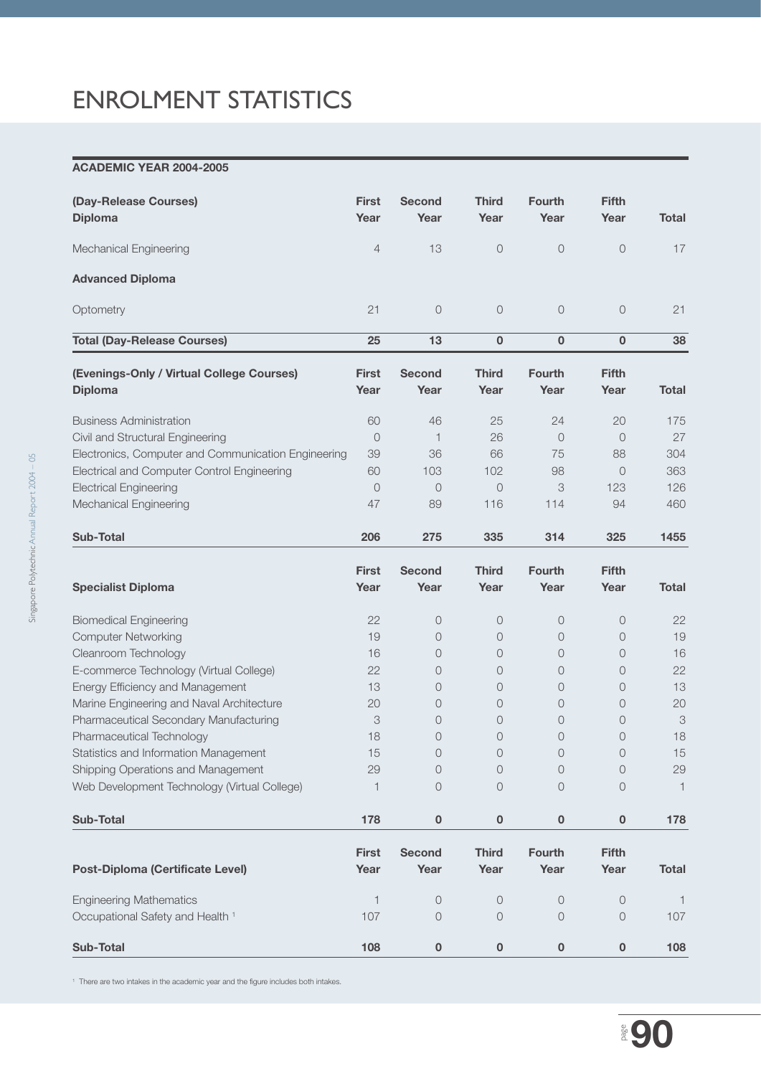## ENROLMENT STATISTICS

## **ACADEMIC YEAR 2004-2005**

| (Day-Release Courses)<br><b>Diploma</b>                                                                                                                                                                                                                                                                                                                                                                               | <b>First</b><br>Year                                         | <b>Second</b><br>Year                                                                                   | <b>Third</b><br>Year                                                                                                                                | <b>Fourth</b><br>Year                                                          | <b>Fifth</b><br>Year                                                                                                                                                     | <b>Total</b>                                                                                    |
|-----------------------------------------------------------------------------------------------------------------------------------------------------------------------------------------------------------------------------------------------------------------------------------------------------------------------------------------------------------------------------------------------------------------------|--------------------------------------------------------------|---------------------------------------------------------------------------------------------------------|-----------------------------------------------------------------------------------------------------------------------------------------------------|--------------------------------------------------------------------------------|--------------------------------------------------------------------------------------------------------------------------------------------------------------------------|-------------------------------------------------------------------------------------------------|
| Mechanical Engineering                                                                                                                                                                                                                                                                                                                                                                                                | 4                                                            | 13                                                                                                      | $\circ$                                                                                                                                             | $\circ$                                                                        | $\circ$                                                                                                                                                                  | 17                                                                                              |
| <b>Advanced Diploma</b>                                                                                                                                                                                                                                                                                                                                                                                               |                                                              |                                                                                                         |                                                                                                                                                     |                                                                                |                                                                                                                                                                          |                                                                                                 |
| Optometry                                                                                                                                                                                                                                                                                                                                                                                                             | 21                                                           | $\bigcirc$                                                                                              | $\circ$                                                                                                                                             | $\circ$                                                                        | $\overline{O}$                                                                                                                                                           | 21                                                                                              |
| <b>Total (Day-Release Courses)</b>                                                                                                                                                                                                                                                                                                                                                                                    | 25                                                           | 13                                                                                                      | $\mathbf 0$                                                                                                                                         | $\bf{0}$                                                                       | $\mathbf 0$                                                                                                                                                              | 38                                                                                              |
| (Evenings-Only / Virtual College Courses)<br><b>Diploma</b>                                                                                                                                                                                                                                                                                                                                                           | <b>First</b><br>Year                                         | <b>Second</b><br>Year                                                                                   | <b>Third</b><br>Year                                                                                                                                | <b>Fourth</b><br>Year                                                          | <b>Fifth</b><br>Year                                                                                                                                                     | <b>Total</b>                                                                                    |
| <b>Business Administration</b><br>Civil and Structural Engineering<br>Electronics, Computer and Communication Engineering<br>Electrical and Computer Control Engineering<br><b>Electrical Engineering</b><br>Mechanical Engineering                                                                                                                                                                                   | 60<br>$\overline{0}$<br>39<br>60<br>$\overline{0}$<br>47     | 46<br>$\mathbf{1}$<br>36<br>103<br>$\bigcirc$<br>89                                                     | 25<br>26<br>66<br>102<br>$\circ$<br>116                                                                                                             | 24<br>$\overline{0}$<br>75<br>98<br>3<br>114                                   | 20<br>$\overline{0}$<br>88<br>$\overline{0}$<br>123<br>94                                                                                                                | 175<br>27<br>304<br>363<br>126<br>460                                                           |
| Sub-Total                                                                                                                                                                                                                                                                                                                                                                                                             | 206                                                          | 275                                                                                                     | 335                                                                                                                                                 | 314                                                                            | 325                                                                                                                                                                      | 1455                                                                                            |
| <b>Specialist Diploma</b>                                                                                                                                                                                                                                                                                                                                                                                             | <b>First</b><br>Year                                         | <b>Second</b><br>Year                                                                                   | <b>Third</b><br>Year                                                                                                                                | <b>Fourth</b><br>Year                                                          | <b>Fifth</b><br>Year                                                                                                                                                     | <b>Total</b>                                                                                    |
| <b>Biomedical Engineering</b><br><b>Computer Networking</b><br>Cleanroom Technology<br>E-commerce Technology (Virtual College)<br>Energy Efficiency and Management<br>Marine Engineering and Naval Architecture<br>Pharmaceutical Secondary Manufacturing<br>Pharmaceutical Technology<br>Statistics and Information Management<br>Shipping Operations and Management<br>Web Development Technology (Virtual College) | 22<br>19<br>16<br>22<br>13<br>20<br>3<br>18<br>15<br>29<br>1 | $\circ$<br>$\Omega$<br>0<br>0<br>$\circ$<br>0<br>0<br>$\circ$<br>$\bigcap$<br>$\circ$<br>$\overline{0}$ | $\circ$<br>$\circ$<br>$\circ$<br>$\overline{0}$<br>$\overline{0}$<br>$\overline{0}$<br>$\overline{0}$<br>$\overline{0}$<br>$\Omega$<br>$\circ$<br>0 | 0<br>$\circ$<br>0<br>0<br>0<br>0<br>0<br>0<br>$\bigcap$<br>0<br>$\overline{O}$ | $\overline{0}$<br>$\circ$<br>$\overline{0}$<br>$\overline{0}$<br>$\circ$<br>$\overline{0}$<br>$\overline{0}$<br>$\overline{0}$<br>$\bigcap$<br>$\circ$<br>$\overline{0}$ | 22<br>19<br>16<br>22<br>13<br>20<br>$\ensuremath{\mathsf{3}}$<br>18<br>15<br>29<br>$\mathbf{1}$ |
| Sub-Total                                                                                                                                                                                                                                                                                                                                                                                                             | 178                                                          | $\bf{0}$                                                                                                | 0                                                                                                                                                   | 0                                                                              | 0                                                                                                                                                                        | 178                                                                                             |
| <b>Post-Diploma (Certificate Level)</b>                                                                                                                                                                                                                                                                                                                                                                               | <b>First</b><br>Year                                         | <b>Second</b><br>Year                                                                                   | <b>Third</b><br>Year                                                                                                                                | Fourth<br>Year                                                                 | <b>Fifth</b><br>Year                                                                                                                                                     | <b>Total</b>                                                                                    |
| <b>Engineering Mathematics</b><br>Occupational Safety and Health <sup>1</sup>                                                                                                                                                                                                                                                                                                                                         | 1<br>107                                                     | $\circ$<br>$\circ$                                                                                      | 0<br>0                                                                                                                                              | 0<br>$\overline{O}$                                                            | $\overline{0}$<br>$\overline{0}$                                                                                                                                         | $\overline{1}$<br>107                                                                           |
| Sub-Total                                                                                                                                                                                                                                                                                                                                                                                                             | 108                                                          | $\pmb{0}$                                                                                               | $\pmb{0}$                                                                                                                                           | $\bf{0}$                                                                       | 0                                                                                                                                                                        | 108                                                                                             |

<sup>1</sup> There are two intakes in the academic year and the figure includes both intakes.